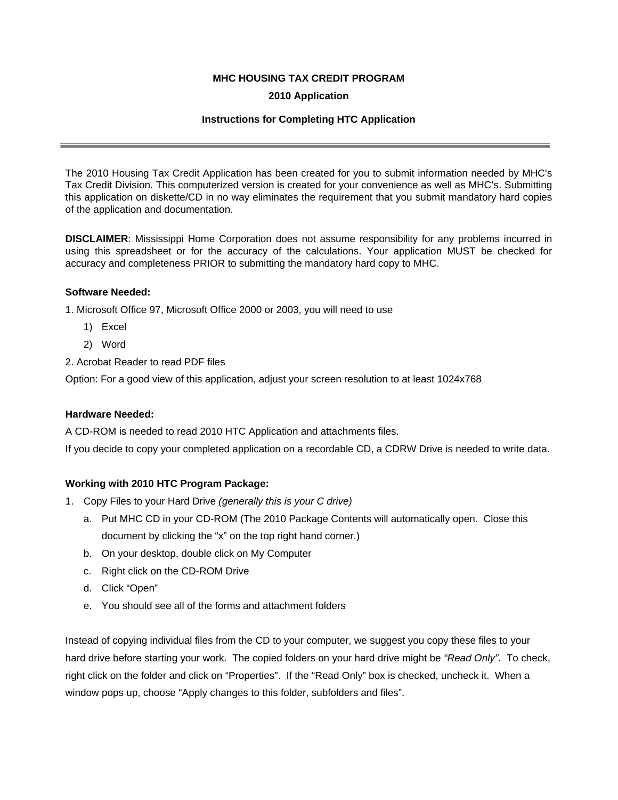# **MHC HOUSING TAX CREDIT PROGRAM**

## **2010 Application**

## **Instructions for Completing HTC Application**

The 2010 Housing Tax Credit Application has been created for you to submit information needed by MHC's Tax Credit Division. This computerized version is created for your convenience as well as MHC's. Submitting this application on diskette/CD in no way eliminates the requirement that you submit mandatory hard copies of the application and documentation.

**DISCLAIMER**: Mississippi Home Corporation does not assume responsibility for any problems incurred in using this spreadsheet or for the accuracy of the calculations. Your application MUST be checked for accuracy and completeness PRIOR to submitting the mandatory hard copy to MHC.

### **Software Needed:**

1. Microsoft Office 97, Microsoft Office 2000 or 2003, you will need to use

- 1) Excel
- 2) Word
- 2. Acrobat Reader to read PDF files

Option: For a good view of this application, adjust your screen resolution to at least 1024x768

#### **Hardware Needed:**

A CD-ROM is needed to read 2010 HTC Application and attachments files.

If you decide to copy your completed application on a recordable CD, a CDRW Drive is needed to write data.

# **Working with 2010 HTC Program Package:**

- 1. Copy Files to your Hard Drive *(generally this is your C drive)*
	- a. Put MHC CD in your CD-ROM (The 2010 Package Contents will automatically open. Close this document by clicking the "x" on the top right hand corner.)
	- b. On your desktop, double click on My Computer
	- c. Right click on the CD-ROM Drive
	- d. Click "Open"
	- e. You should see all of the forms and attachment folders

Instead of copying individual files from the CD to your computer, we suggest you copy these files to your hard drive before starting your work. The copied folders on your hard drive might be *"Read Only"*. To check, right click on the folder and click on "Properties". If the "Read Only" box is checked, uncheck it. When a window pops up, choose "Apply changes to this folder, subfolders and files".